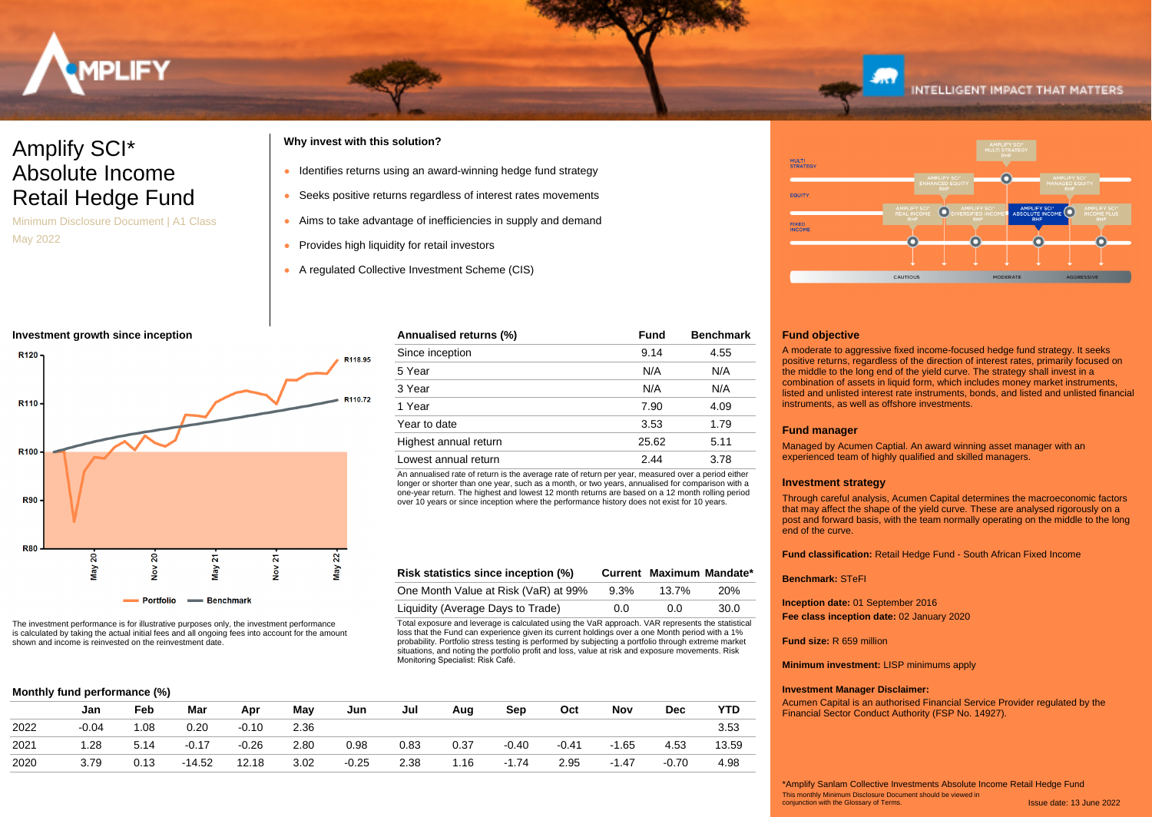

# Amplify SCI\* Absolute Income Retail Hedge Fund

Minimum Disclosure Document | A1 Class May 2022

# **Why invest with this solution?**

- Identifies returns using an award-winning hedge fund strategy
- Seeks positive returns regardless of interest rates movements
- Aims to take advantage of inefficiencies in supply and demand

Total exposure and leverage is calculated using the VaR approach. VAR represents the statistical loss that the Fund can experience given its current holdings over a one Month period with a 1% probability. Portfolio stress testing is performed by subjecting a portfolio through extreme market situations, and noting the portfolio profit and loss, value at risk and exposure movements. Risk

**Risk statistics since inception (%) Current Maximum Mandate\*** One Month Value at Risk (VaR) at 99% 9.3% 13.7% 20% Liquidity (Average Days to Trade)  $0.0$  0.0 30.0

An annualised rate of return is the average rate of return per year, measured over a period either longer or shorter than one year, such as a month, or two years, annualised for comparison with a one-year return. The highest and lowest 12 month returns are based on a 12 month rolling period over 10 years or since inception where the performance history does not exist for 10 years.

**Annualised returns (%) Fund Benchmark** Since inception 8.14 4.55 5 Year N/A N/A 3 Year N/A N/A 1 Year 7.90 4.09 Year to date 3.53 1.79 Highest annual return 25.62 5.11 Lowest annual return 2.44 3.78

- Provides high liquidity for retail investors
- A regulated Collective Investment Scheme (CIS)

# **Investment growth since inception**



The investment performance is for illustrative purposes only, the investment performance is calculated by taking the actual initial fees and all ongoing fees into account for the amount shown and income is reinvested on the reinvestment date.

# **Monthly fund performance (%)**

| Jan     | Feb   | Mar      | Apr     | May  | Jun     | Jul  | Aug  | Sep     | Oct     | Nov     | Dec     | YTD   |
|---------|-------|----------|---------|------|---------|------|------|---------|---------|---------|---------|-------|
| $-0.04$ | 08. ا | 0.20     | $-0.10$ | 2.36 |         |      |      |         |         |         |         | 3.53  |
| 1.28    | 5.14  | $-0.17$  | $-0.26$ | 2.80 | 0.98    | 0.83 | 0.37 | $-0.40$ | $-0.41$ | $-1.65$ | 4.53    | 13.59 |
| 3.79    | 0.13  | $-14.52$ | 12.18   | 3.02 | $-0.25$ | 2.38 | 1.16 | $-1.74$ | 2.95    | $-1.47$ | $-0.70$ | 4.98  |
|         |       |          |         |      |         |      |      |         |         |         |         |       |

Monitoring Specialist: Risk Café.



# **Fund objective**

A moderate to aggressive fixed income-focused hedge fund strategy. It seeks positive returns, regardless of the direction of interest rates, primarily focused on the middle to the long end of the yield curve. The strategy shall invest in a combination of assets in liquid form, which includes money market instruments, listed and unlisted interest rate instruments, bonds, and listed and unlisted financial instruments, as well as offshore investments.

# **Fund manager**

Managed by Acumen Captial. An award winning asset manager with an experienced team of highly qualified and skilled managers.

### **Investment strategy**

Through careful analysis, Acumen Capital determines the macroeconomic factors that may affect the shape of the yield curve. These are analysed rigorously on a post and forward basis, with the team normally operating on the middle to the long end of the curve.

**Fund classification:** Retail Hedge Fund - South African Fixed Income

### **Benchmark:** STeFI

**Inception date:** 01 September 2016

**Fee class inception date:** 02 January 2020

### **Fund size:** R 659 million

**Minimum investment:** LISP minimums apply

# **Investment Manager Disclaimer:**

Acumen Capital is an authorised Financial Service Provider regulated by the Financial Sector Conduct Authority (FSP No. 14927).

Issue date: 13 June 2022 This monthly Minimum Disclosure Document should be viewed in conjunction with the Glossary of Terms. \*Amplify Sanlam Collective Investments Absolute Income Retail Hedge Fund

# **INTELLIGENT IMPACT THAT MATTERS**